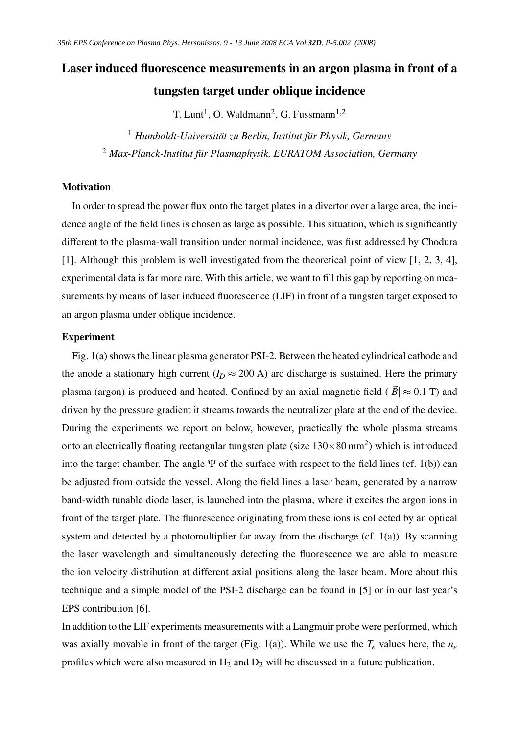# Laser induced fluorescence measurements in an argon plasma in front of a tungsten target under oblique incidence

T. Lunt<sup>1</sup>, O. Waldmann<sup>2</sup>, G. Fussmann<sup>1,2</sup>

<sup>1</sup> *Humboldt-Universität zu Berlin, Institut für Physik, Germany* <sup>2</sup> *Max-Planck-Institut für Plasmaphysik, EURATOM Association, Germany*

# Motivation

In order to spread the power flux onto the target plates in a divertor over a large area, the incidence angle of the field lines is chosen as large as possible. This situation, which is significantly different to the plasma-wall transition under normal incidence, was first addressed by Chodura [1]. Although this problem is well investigated from the theoretical point of view [1, 2, 3, 4], experimental data is far more rare. With this article, we want to fill this gap by reporting on measurements by means of laser induced fluorescence (LIF) in front of a tungsten target exposed to an argon plasma under oblique incidence.

## Experiment

Fig. 1(a) shows the linear plasma generator PSI-2. Between the heated cylindrical cathode and the anode a stationary high current ( $I_D \approx 200$  A) arc discharge is sustained. Here the primary plasma (argon) is produced and heated. Confined by an axial magnetic field ( $|\vec{B}| \approx 0.1$  T) and driven by the pressure gradient it streams towards the neutralizer plate at the end of the device. During the experiments we report on below, however, practically the whole plasma streams onto an electrically floating rectangular tungsten plate (size  $130\times80$  mm<sup>2</sup>) which is introduced into the target chamber. The angle  $\Psi$  of the surface with respect to the field lines (cf. 1(b)) can be adjusted from outside the vessel. Along the field lines a laser beam, generated by a narrow band-width tunable diode laser, is launched into the plasma, where it excites the argon ions in front of the target plate. The fluorescence originating from these ions is collected by an optical system and detected by a photomultiplier far away from the discharge (cf. 1(a)). By scanning the laser wavelength and simultaneously detecting the fluorescence we are able to measure the ion velocity distribution at different axial positions along the laser beam. More about this technique and a simple model of the PSI-2 discharge can be found in [5] or in our last year's EPS contribution [6].

In addition to the LIF experiments measurements with a Langmuir probe were performed, which was axially movable in front of the target (Fig. 1(a)). While we use the  $T_e$  values here, the  $n_e$ profiles which were also measured in  $H_2$  and  $D_2$  will be discussed in a future publication.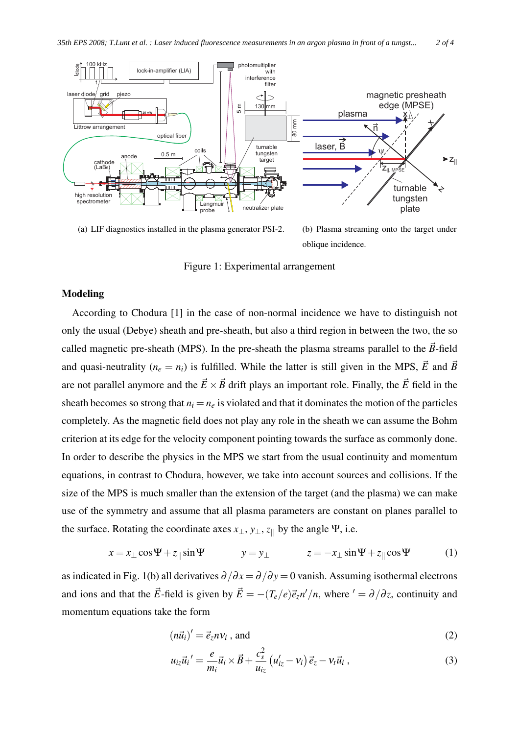

(a) LIF diagnostics installed in the plasma generator PSI-2.

(b) Plasma streaming onto the target under oblique incidence.

Figure 1: Experimental arrangement

# Modeling

According to Chodura [1] in the case of non-normal incidence we have to distinguish not only the usual (Debye) sheath and pre-sheath, but also a third region in between the two, the so called magnetic pre-sheath (MPS). In the pre-sheath the plasma streams parallel to the  $\vec{B}$ -field and quasi-neutrality ( $n_e = n_i$ ) is fulfilled. While the latter is still given in the MPS,  $\vec{E}$  and  $\vec{B}$ are not parallel anymore and the  $\vec{E} \times \vec{B}$  drift plays an important role. Finally, the  $\vec{E}$  field in the sheath becomes so strong that  $n_i = n_e$  is violated and that it dominates the motion of the particles completely. As the magnetic field does not play any role in the sheath we can assume the Bohm criterion at its edge for the velocity component pointing towards the surface as commonly done. In order to describe the physics in the MPS we start from the usual continuity and momentum equations, in contrast to Chodura, however, we take into account sources and collisions. If the size of the MPS is much smaller than the extension of the target (and the plasma) we can make use of the symmetry and assume that all plasma parameters are constant on planes parallel to the surface. Rotating the coordinate axes  $x_{\perp}$ ,  $y_{\perp}$ ,  $z_{\parallel}$  by the angle Ψ, i.e.

$$
x = x_{\perp} \cos \Psi + z_{\parallel} \sin \Psi \qquad y = y_{\perp} \qquad z = -x_{\perp} \sin \Psi + z_{\parallel} \cos \Psi \qquad (1)
$$

as indicated in Fig. 1(b) all derivatives  $\partial/\partial x = \partial/\partial y = 0$  vanish. Assuming isothermal electrons and ions and that the  $\vec{E}$ -field is given by  $\vec{E} = -(T_e/e)\vec{e}_z n'/n$ , where  $' = \partial/\partial z$ , continuity and momentum equations take the form

$$
(n\vec{u}_i)' = \vec{e}_z n v_i \text{, and} \tag{2}
$$

$$
u_{iz}\vec{u}_i{}' = \frac{e}{m_i}\vec{u}_i \times \vec{B} + \frac{c_s^2}{u_{iz}}\left(u'_{iz} - v_i\right)\vec{e}_z - v_t\vec{u}_i,
$$
\n(3)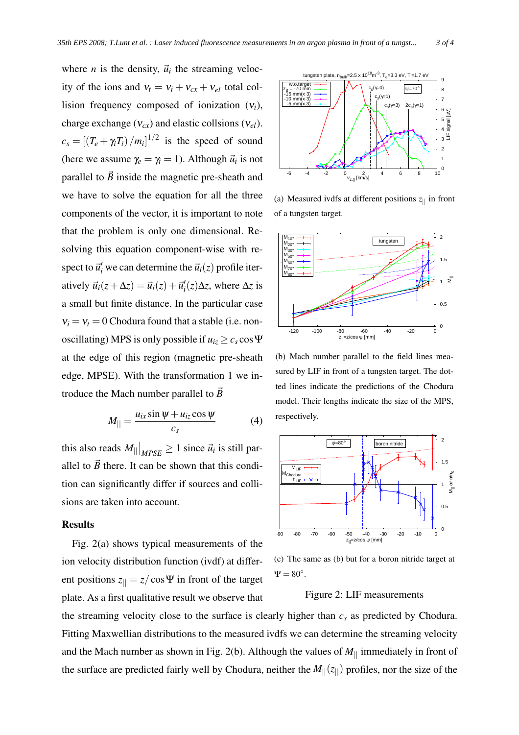where *n* is the density,  $\vec{u}_i$  the streaming velocity of the ions and  $v_t = v_i + v_{cx} + v_{el}$  total collision frequency composed of ionization (ν*i*), charge exchange (ν*cx*) and elastic collsions (ν*el*).  $c_s = \left[ \left(T_e + \gamma_i T_i\right)/m_i \right]^{1/2}$  is the speed of sound (here we assume  $\gamma_e = \gamma_i = 1$ ). Although  $\vec{u}_i$  is not parallel to  $\vec{B}$  inside the magnetic pre-sheath and we have to solve the equation for all the three components of the vector, it is important to note that the problem is only one dimensional. Resolving this equation component-wise with respect to  $\vec{u}'_i$  we can determine the  $\vec{u}_i(z)$  profile iteratively  $\vec{u}_i(z + \Delta z) = \vec{u}_i(z) + \vec{u}'_i(z) \Delta z$ , where  $\Delta z$  is a small but finite distance. In the particular case  $v_i = v_t = 0$  Chodura found that a stable (i.e. nonoscillating) MPS is only possible if  $u_{iz} \ge c_s \cos \Psi$ at the edge of this region (magnetic pre-sheath edge, MPSE). With the transformation 1 we introduce the Mach number parallel to  $\vec{B}$ 

$$
M_{\parallel} = \frac{u_{ix} \sin \psi + u_{iz} \cos \psi}{c_s} \tag{4}
$$

this also reads  $M_{||}|_{MPSE} \ge 1$  since  $\vec{u}_i$  is still parallel to  $\vec{B}$  there. It can be shown that this condition can significantly differ if sources and collisions are taken into account.

## Results

Fig. 2(a) shows typical measurements of the ion velocity distribution function (ivdf) at different positions  $z_{\parallel} = z/\cos \Psi$  in front of the target plate. As a first qualitative result we observe that



(a) Measured ivdfs at different positions  $z_{\parallel}$  in front of a tungsten target.



(b) Mach number parallel to the field lines measured by LIF in front of a tungsten target. The dotted lines indicate the predictions of the Chodura model. Their lengths indicate the size of the MPS, respectively.



(c) The same as (b) but for a boron nitride target at  $\Psi = 80^\circ.$ 

#### Figure 2: LIF measurements

the streaming velocity close to the surface is clearly higher than *c<sup>s</sup>* as predicted by Chodura. Fitting Maxwellian distributions to the measured ivdfs we can determine the streaming velocity and the Mach number as shown in Fig. 2(b). Although the values of  $M_{\parallel}$  immediately in front of the surface are predicted fairly well by Chodura, neither the  $M_{\parallel}(z_{\parallel})$  profiles, nor the size of the